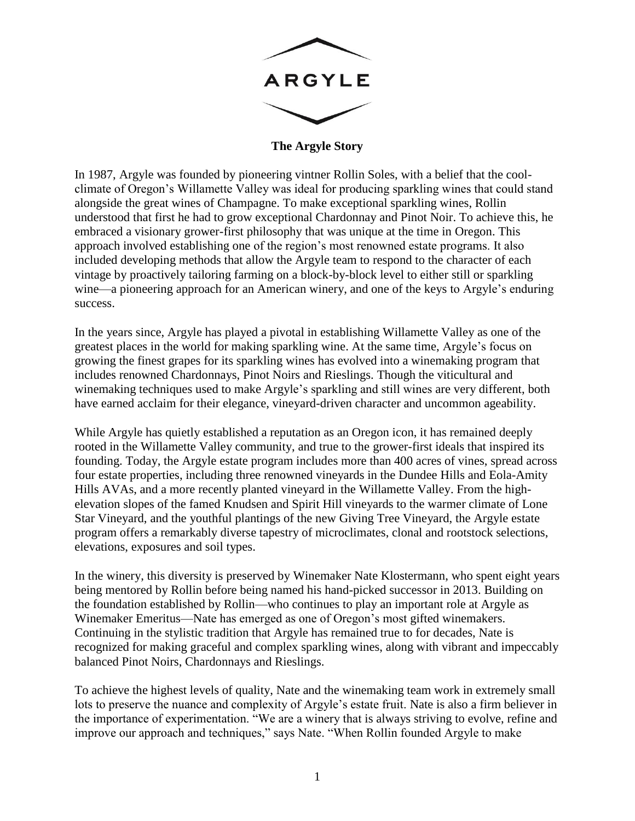

**The Argyle Story**

In 1987, Argyle was founded by pioneering vintner Rollin Soles, with a belief that the coolclimate of Oregon's Willamette Valley was ideal for producing sparkling wines that could stand alongside the great wines of Champagne. To make exceptional sparkling wines, Rollin understood that first he had to grow exceptional Chardonnay and Pinot Noir. To achieve this, he embraced a visionary grower-first philosophy that was unique at the time in Oregon. This approach involved establishing one of the region's most renowned estate programs. It also included developing methods that allow the Argyle team to respond to the character of each vintage by proactively tailoring farming on a block-by-block level to either still or sparkling wine—a pioneering approach for an American winery, and one of the keys to Argyle's enduring success.

In the years since, Argyle has played a pivotal in establishing Willamette Valley as one of the greatest places in the world for making sparkling wine. At the same time, Argyle's focus on growing the finest grapes for its sparkling wines has evolved into a winemaking program that includes renowned Chardonnays, Pinot Noirs and Rieslings. Though the viticultural and winemaking techniques used to make Argyle's sparkling and still wines are very different, both have earned acclaim for their elegance, vineyard-driven character and uncommon ageability.

While Argyle has quietly established a reputation as an Oregon icon, it has remained deeply rooted in the Willamette Valley community, and true to the grower-first ideals that inspired its founding. Today, the Argyle estate program includes more than 400 acres of vines, spread across four estate properties, including three renowned vineyards in the Dundee Hills and Eola-Amity Hills AVAs, and a more recently planted vineyard in the Willamette Valley. From the highelevation slopes of the famed Knudsen and Spirit Hill vineyards to the warmer climate of Lone Star Vineyard, and the youthful plantings of the new Giving Tree Vineyard, the Argyle estate program offers a remarkably diverse tapestry of microclimates, clonal and rootstock selections, elevations, exposures and soil types.

In the winery, this diversity is preserved by Winemaker Nate Klostermann, who spent eight years being mentored by Rollin before being named his hand-picked successor in 2013. Building on the foundation established by Rollin—who continues to play an important role at Argyle as Winemaker Emeritus—Nate has emerged as one of Oregon's most gifted winemakers. Continuing in the stylistic tradition that Argyle has remained true to for decades, Nate is recognized for making graceful and complex sparkling wines, along with vibrant and impeccably balanced Pinot Noirs, Chardonnays and Rieslings.

To achieve the highest levels of quality, Nate and the winemaking team work in extremely small lots to preserve the nuance and complexity of Argyle's estate fruit. Nate is also a firm believer in the importance of experimentation. "We are a winery that is always striving to evolve, refine and improve our approach and techniques," says Nate. "When Rollin founded Argyle to make